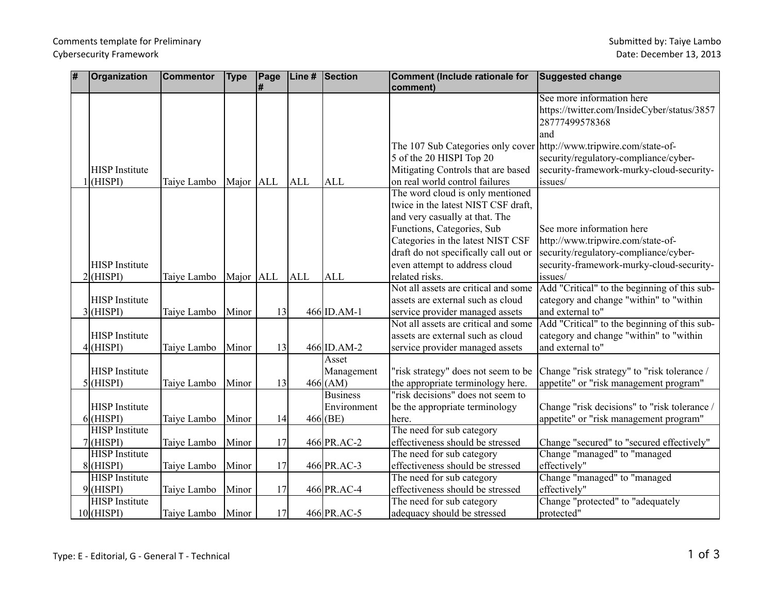| # | <b>Organization</b>   | <b>Commentor</b> | <b>Type</b> | Page | Line #     | Section         | Comment (Include rationale for<br>comment)                          | <b>Suggested change</b>                      |
|---|-----------------------|------------------|-------------|------|------------|-----------------|---------------------------------------------------------------------|----------------------------------------------|
|   |                       |                  |             |      |            |                 |                                                                     | See more information here                    |
|   |                       |                  |             |      |            |                 |                                                                     | https://twitter.com/InsideCyber/status/3857  |
|   |                       |                  |             |      |            |                 |                                                                     | 28777499578368                               |
|   |                       |                  |             |      |            |                 |                                                                     | land                                         |
|   |                       |                  |             |      |            |                 | The 107 Sub Categories only cover http://www.tripwire.com/state-of- |                                              |
|   |                       |                  |             |      |            |                 | 5 of the 20 HISPI Top 20                                            | security/regulatory-compliance/cyber-        |
|   | <b>HISP</b> Institute |                  |             |      |            |                 | Mitigating Controls that are based                                  | security-framework-murky-cloud-security-     |
|   | (HISPI)               | Taiye Lambo      | Major ALL   |      | <b>ALL</b> | <b>ALL</b>      | on real world control failures                                      | issues/                                      |
|   |                       |                  |             |      |            |                 | The word cloud is only mentioned                                    |                                              |
|   |                       |                  |             |      |            |                 | twice in the latest NIST CSF draft,                                 |                                              |
|   |                       |                  |             |      |            |                 | and very casually at that. The                                      |                                              |
|   |                       |                  |             |      |            |                 | Functions, Categories, Sub                                          | See more information here                    |
|   |                       |                  |             |      |            |                 | Categories in the latest NIST CSF                                   | http://www.tripwire.com/state-of-            |
|   |                       |                  |             |      |            |                 | draft do not specifically call out or                               | security/regulatory-compliance/cyber-        |
|   | <b>HISP</b> Institute |                  |             |      |            |                 | even attempt to address cloud                                       | security-framework-murky-cloud-security-     |
|   | $2$ (HISPI)           | Taiye Lambo      | Major ALL   |      | <b>ALL</b> | <b>ALL</b>      | related risks.                                                      | issues/                                      |
|   |                       |                  |             |      |            |                 | Not all assets are critical and some                                | Add "Critical" to the beginning of this sub- |
|   | <b>HISP</b> Institute |                  |             |      |            |                 | assets are external such as cloud                                   | category and change "within" to "within"     |
|   | $3$ (HISPI)           | Taiye Lambo      | Minor       | 13   |            | 466 ID.AM-1     | service provider managed assets                                     | and external to"                             |
|   |                       |                  |             |      |            |                 | Not all assets are critical and some                                | Add "Critical" to the beginning of this sub- |
|   | <b>HISP</b> Institute |                  |             |      |            |                 | assets are external such as cloud                                   | category and change "within" to "within      |
|   | $4$ (HISPI)           | Taiye Lambo      | Minor       | 13   |            | $466$ ID.AM-2   | service provider managed assets                                     | and external to"                             |
|   |                       |                  |             |      |            | Asset           |                                                                     |                                              |
|   | <b>HISP</b> Institute |                  |             |      |            | Management      | "risk strategy" does not seem to be                                 | Change "risk strategy" to "risk tolerance /  |
|   | $5$ (HISPI)           | Taiye Lambo      | Minor       | 13   |            | $466$ (AM)      | the appropriate terminology here.                                   | appetite" or "risk management program"       |
|   |                       |                  |             |      |            | <b>Business</b> | "risk decisions" does not seem to                                   |                                              |
|   | <b>HISP</b> Institute |                  |             |      |            | Environment     | be the appropriate terminology                                      | Change "risk decisions" to "risk tolerance / |
|   | $6$ (HISPI)           | Taiye Lambo      | Minor       | 14   |            | $466$ (BE)      | here.                                                               | appetite" or "risk management program"       |
|   | <b>HISP</b> Institute |                  |             |      |            |                 | The need for sub category                                           |                                              |
|   | $7$ (HISPI)           | Taiye Lambo      | Minor       | 17   |            | 466 PR.AC-2     | effectiveness should be stressed                                    | Change "secured" to "secured effectively"    |
|   | <b>HISP</b> Institute |                  |             |      |            |                 | The need for sub category                                           | Change "managed" to "managed                 |
|   | $8$ (HISPI)           | Taiye Lambo      | Minor       | 17   |            | 466 PR.AC-3     | effectiveness should be stressed                                    | effectively"                                 |
|   | <b>HISP</b> Institute |                  |             |      |            |                 | The need for sub category                                           | Change "managed" to "managed                 |
|   | $9$ (HISPI)           | Taiye Lambo      | Minor       | 17   |            | 466 PR.AC-4     | effectiveness should be stressed                                    | effectively"                                 |
|   | <b>HISP</b> Institute |                  |             |      |            |                 | The need for sub category                                           | Change "protected" to "adequately            |
|   | $10$ (HISPI)          | Taiye Lambo      | Minor       | 17   |            | 466 PR.AC-5     | adequacy should be stressed                                         | protected"                                   |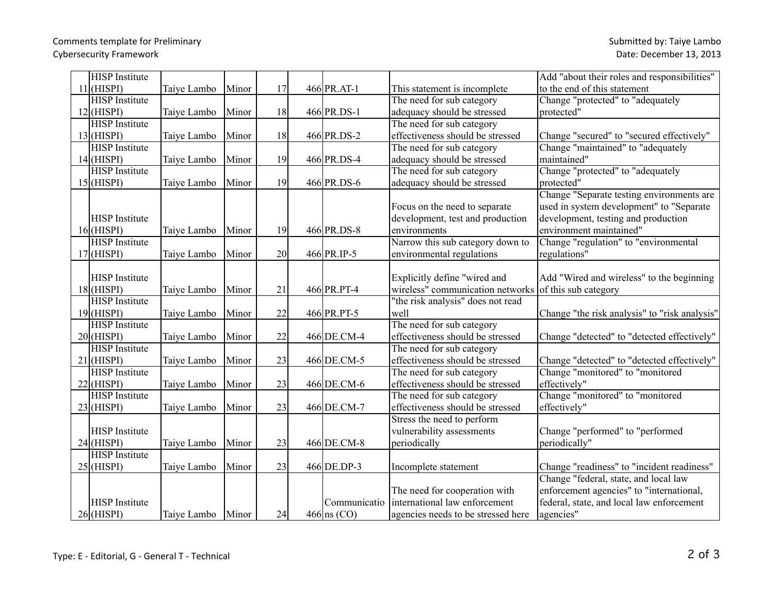| <b>HISP</b> Institute |             |       |    |               |                                    | Add "about their roles and responsibilities"  |
|-----------------------|-------------|-------|----|---------------|------------------------------------|-----------------------------------------------|
| $11$ (HISPI)          | Taiye Lambo | Minor | 17 | 466 PR.AT-1   | This statement is incomplete       | to the end of this statement                  |
| <b>HISP</b> Institute |             |       |    |               | The need for sub category          | Change "protected" to "adequately             |
| $12$ (HISPI)          | Taiye Lambo | Minor | 18 | 466 PR.DS-1   | adequacy should be stressed        | protected"                                    |
| <b>HISP</b> Institute |             |       |    |               | The need for sub category          |                                               |
| $13$ (HISPI)          | Taiye Lambo | Minor | 18 | 466 PR.DS-2   | effectiveness should be stressed   | Change "secured" to "secured effectively"     |
| <b>HISP</b> Institute |             |       |    |               | The need for sub category          | Change "maintained" to "adequately            |
| $14$ (HISPI)          | Taiye Lambo | Minor | 19 | 466 PR.DS-4   | adequacy should be stressed        | maintained"                                   |
| <b>HISP</b> Institute |             |       |    |               | The need for sub category          | Change "protected" to "adequately             |
| $15$ (HISPI)          | Taiye Lambo | Minor | 19 | 466 PR.DS-6   | adequacy should be stressed        | protected"                                    |
|                       |             |       |    |               |                                    | Change "Separate testing environments are     |
|                       |             |       |    |               | Focus on the need to separate      | used in system development" to "Separate      |
| <b>HISP</b> Institute |             |       |    |               | development, test and production   | development, testing and production           |
| $16$ (HISPI)          | Taiye Lambo | Minor | 19 | 466 PR.DS-8   | environments                       | environment maintained"                       |
| <b>HISP</b> Institute |             |       |    |               | Narrow this sub category down to   | Change "regulation" to "environmental         |
| $17$ (HISPI)          | Taiye Lambo | Minor | 20 | 466 PR.IP-5   | environmental regulations          | regulations"                                  |
|                       |             |       |    |               |                                    |                                               |
| <b>HISP</b> Institute |             |       |    |               | Explicitly define "wired and       | Add "Wired and wireless" to the beginning     |
| $18$ (HISPI)          | Taiye Lambo | Minor | 21 | 466 PR.PT-4   | wireless" communication networks   | of this sub category                          |
| <b>HISP</b> Institute |             |       |    |               | "the risk analysis" does not read  |                                               |
| $19$ (HISPI)          | Taiye Lambo | Minor | 22 | 466 PR.PT-5   | well                               | Change "the risk analysis" to "risk analysis" |
| <b>HISP</b> Institute |             |       |    |               | The need for sub category          |                                               |
| $20$ (HISPI)          | Taiye Lambo | Minor | 22 | 466 DE.CM-4   | effectiveness should be stressed   | Change "detected" to "detected effectively"   |
| <b>HISP</b> Institute |             |       |    |               | The need for sub category          |                                               |
| $21$ (HISPI)          | Taiye Lambo | Minor | 23 | 466 DE.CM-5   | effectiveness should be stressed   | Change "detected" to "detected effectively"   |
| <b>HISP</b> Institute |             |       |    |               | The need for sub category          | Change "monitored" to "monitored              |
| $22$ (HISPI)          | Taiye Lambo | Minor | 23 | 466 DE.CM-6   | effectiveness should be stressed   | effectively"                                  |
| <b>HISP</b> Institute |             |       |    |               | The need for sub category          | Change "monitored" to "monitored              |
| $23$ (HISPI)          | Taiye Lambo | Minor | 23 | 466 DE.CM-7   | effectiveness should be stressed   | effectively"                                  |
|                       |             |       |    |               | Stress the need to perform         |                                               |
| <b>HISP</b> Institute |             |       |    |               | vulnerability assessments          | Change "performed" to "performed              |
| $24$ (HISPI)          | Taiye Lambo | Minor | 23 | 466 DE.CM-8   | periodically                       | periodically"                                 |
| <b>HISP</b> Institute |             |       |    |               |                                    |                                               |
| $25$ (HISPI)          | Taiye Lambo | Minor | 23 | 466 DE.DP-3   | Incomplete statement               | Change "readiness" to "incident readiness"    |
|                       |             |       |    |               |                                    | Change "federal, state, and local law         |
|                       |             |       |    |               | The need for cooperation with      | enforcement agencies" to "international,      |
| <b>HISP</b> Institute |             |       |    | Communicatio  | international law enforcement      | federal, state, and local law enforcement     |
| $26$ (HISPI)          | Taive Lambo | Minor | 24 | $466$ ns (CO) | agencies needs to be stressed here | agencies"                                     |